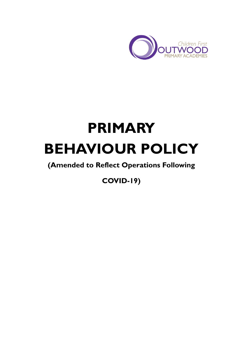

# **PRIMARY BEHAVIOUR POLICY**

# **(Amended to Reflect Operations Following**

**COVID-19)**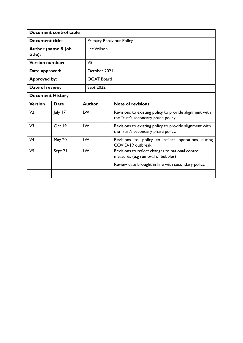| Document control table        |               |  |                          |                                                                                                                                             |  |  |  |
|-------------------------------|---------------|--|--------------------------|---------------------------------------------------------------------------------------------------------------------------------------------|--|--|--|
| <b>Document title:</b>        |               |  | Primary Behaviour Policy |                                                                                                                                             |  |  |  |
| Author (name & job<br>title): |               |  | Lee Wilson               |                                                                                                                                             |  |  |  |
| <b>Version number:</b>        |               |  | V <sub>5</sub>           |                                                                                                                                             |  |  |  |
| Date approved:                |               |  | October 2021             |                                                                                                                                             |  |  |  |
| <b>Approved by:</b>           |               |  | <b>OGAT Board</b>        |                                                                                                                                             |  |  |  |
| Date of review:               |               |  | Sept 2022                |                                                                                                                                             |  |  |  |
| <b>Document History</b>       |               |  |                          |                                                                                                                                             |  |  |  |
| <b>Version</b>                | <b>Date</b>   |  | <b>Author</b>            | <b>Note of revisions</b>                                                                                                                    |  |  |  |
| V <sub>2</sub>                | July 17       |  | LW                       | Revisions to existing policy to provide alignment with<br>the Trust's secondary phase policy.                                               |  |  |  |
| V <sub>3</sub>                | Oct 19        |  | LW                       | Revisions to existing policy to provide alignment with<br>the Trust's secondary phase policy.                                               |  |  |  |
| V <sub>4</sub>                | <b>May 20</b> |  | LW                       | Revisions to policy to reflect operations during<br>COVID-19 outbreak                                                                       |  |  |  |
| V5                            | Sept 21       |  | LW                       | Revisions to reflect changes to national control<br>measures (e.g removal of bubbles)<br>Review date brought in line with secondary policy. |  |  |  |
|                               |               |  |                          |                                                                                                                                             |  |  |  |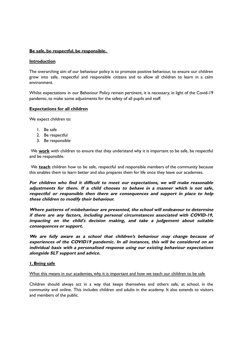# **Be safe, be respectful, be responsible.**

#### **Introduction**

The overarching aim of our behaviour policy is to promote positive behaviour, to ensure our children grow into safe, respectful and responsible citizens and to allow all children to learn in a calm environment.

Whilst expectations in our Behaviour Policy remain pertinent, it is necessary, in light of the Covid-19 pandemic, to make some adjustments for the safety of all pupils and staff.

#### **Expectations for all children**

We expect children to:

- 1. Be safe
- 2. Be respectful
- 3. Be responsible

We **work** with children to ensure that they understand why it is important to be safe, be respectful and be responsible.

We **teach** children how to be safe, respectful and responsible members of the community because this enables them to learn better and also prepares them for life once they leave our academies.

**For children who find it difficult to meet our expectations, we will make reasonable adjustments for them. If <sup>a</sup> child chooses to behave in <sup>a</sup> manner which is not safe, respectful or responsible then there are consequences and support in place to help these children to modify their behaviour.**

**Where patterns of misbehaviour are presented, the school will endeavour to determine if there are any factors, including personal circumstances associated with COVID-19, impacting on the child's decision making, and take <sup>a</sup> judgement about suitable consequences or support.**

**We are fully aware as <sup>a</sup> school that children's behaviour may change because of experiences of the COVID19 pandemic. In all instances, this will be considered on an individual basis with <sup>a</sup> personalised response using our existing behaviour expectations alongside SLT support and advice.**

# **1. Being safe**

#### What this means in our academies, why it is important and how we teach our children to be safe

Children should always act in a way that keeps themselves and others safe, at school, in the community and online. This includes children and adults in the academy. It also extends to visitors and members of the public.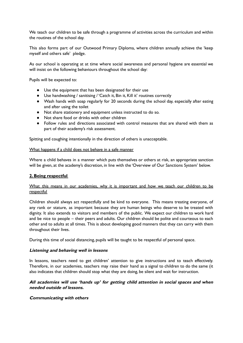We teach our children to be safe through a programme of activities across the curriculum and within the routines of the school day.

This also forms part of our Outwood Primary Diploma, where children annually achieve the 'keep myself and others safe' pledge.

As our school is operating at at time where social awareness and personal hygiene are essential we will insist on the following behaviours throughout the school day:

Pupils will be expected to:

- Use the equipment that has been designated for their use
- Use handwashing / sanitising / 'Catch it, Bin it, Kill it' routines correctly
- Wash hands with soap regularly for 20 seconds during the school day, especially after eating and after using the toilet
- Not share stationery and equipment unless instructed to do so.
- Not share food or drinks with other children
- Follow rules and directions associated with control measures that are shared with them as part of their academy's risk assessment.

Spitting and coughing intentionally in the direction of others is unacceptable.

#### What happens if a child does not behave in a safe manner

Where a child behaves in a manner which puts themselves or others at risk, an appropriate sanction will be given, at the academy's discretion, in line with the 'Overview of Our Sanctions System' below.

# **2. Being respectful**

# What this means in our academies, why it is important and how we teach our children to be respectful

Children should always act respectfully and be kind to everyone. This means treating everyone, of any rank or stature, as important because they are human beings who deserve to be treated with dignity. It also extends to visitors and members of the public. We expect our children to work hard and be nice to people – their peers and adults. Our children should be polite and courteous to each other and to adults at all times. This is about developing good manners that they can carry with them throughout their lives.

During this time of social distancing, pupils will be taught to be respectful of personal space.

# **Listening and behaving well in lessons**

In lessons, teachers need to get children' attention to give instructions and to teach effectively. Therefore, in our academies, teachers may raise their hand as a signal to children to do the same (it also indicates that children should stop what they are doing, be silent and wait for instruction.

# **All academies will use 'hands up' for getting child attention in social spaces and when needed outside of lessons.**

# **Communicating with others**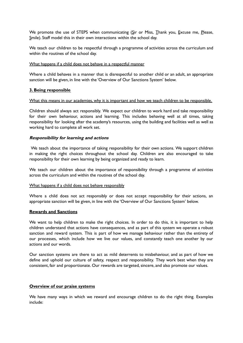We promote the use of STEPS when communicating (Sir or Miss, Thank you, Excuse me, Please, Smile). Staff model this in their own interactions within the school day.

We teach our children to be respectful through a programme of activities across the curriculum and within the routines of the school day.

#### What happens if a child does not behave in a respectful manner

Where a child behaves in a manner that is disrespectful to another child or an adult, an appropriate sanction will be given, in line with the 'Overview of Our Sanctions System' below.

#### **3. Being responsible**

#### What this means in our academies, why it is important and how we teach children to be responsible.

Children should always act responsibly. We expect our children to work hard and take responsibility for their own behaviour, actions and learning. This includes behaving well at all times, taking responsibility for looking after the academy's resources, using the building and facilities well as well as working hard to complete all work set.

#### **Responsibility for learning and actions**

We teach about the importance of taking responsibility for their own actions. We support children in making the right choices throughout the school day. Children are also encouraged to take responsibility for their own learning by being organized and ready to learn.

We teach our children about the importance of responsibility through a programme of activities across the curriculum and within the routines of the school day.

#### What happens if a child does not behave responsibly

Where a child does not act responsibly or does not accept responsibility for their actions, an appropriate sanction will be given, in line with the 'Overview of Our Sanctions System' below.

#### **Rewards and Sanctions**

We want to help children to make the right choices. In order to do this, it is important to help children understand that actions have consequences, and as part of this system we operate a robust sanction and reward system. This is part of how we manage behaviour rather than the entirety of our processes, which include how we live our values, and constantly teach one another by our actions and our words.

Our sanction systems are there to act as mild deterrents to misbehaviour, and as part of how we define and uphold our culture of safety, respect and responsibility. They work best when they are consistent, fair and proportionate. Our rewards are targeted, sincere, and also promote our values.

#### **Overview of our praise systems**

We have many ways in which we reward and encourage children to do the right thing. Examples include: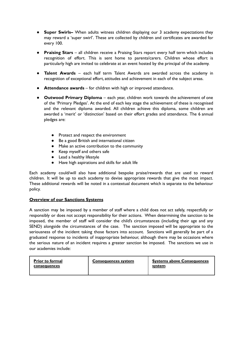- **Super Swirls–** When adults witness children displaying our 3 academy expectations they may reward a 'super swirl'. These are collected by children and certificates are awarded for every 100.
- **Praising Stars** all children receive a Praising Stars report every half term which includes recognition of effort. This is sent home to parents/carers. Children whose effort is particularly high are invited to celebrate at an event hosted by the principal of the academy.
- **Talent Awards** each half term Talent Awards are awarded across the academy in recognition of exceptional effort, attitudes and achievement in each of the subject areas.
- **Attendance awards** for children with high or improved attendance.
- **Outwood Primary Diploma** each year, children work towards the achievement of one of the 'Primary Pledges'. At the end of each key stage the achievement of these is recognised and the relevant diploma awarded. All children achieve this diploma, some children are awarded a 'merit' or 'distinction' based on their effort grades and attendance. The 6 annual pledges are:
	- Protect and respect the environment
	- Be a good British and international citizen
	- Make an active contribution to the community
	- Keep myself and others safe
	- Lead a healthy lifestyle
	- Have high aspirations and skills for adult life

Each academy could/will also have additional bespoke praise/rewards that are used to reward children. It will be up to each academy to devise appropriate rewards that give the most impact. These additional rewards will be noted in a contextual document which is separate to the behaviour policy.

# **Overview of our Sanctions Systems**

A sanction may be imposed by a member of staff where a child does not act safely, respectfully or responsibly or does not accept responsibility for their actions. When determining the sanction to be imposed, the member of staff will consider the child's circumstances (including their age and any SEND) alongside the circumstances of the case. The sanction imposed will be appropriate to the seriousness of the incident taking those factors into account. Sanctions will generally be part of a graduated response to incidents of inappropriate behaviour, although there may be occasions where the serious nature of an incident requires a greater sanction be imposed. The sanctions we use in our academies include:

| <b>Prior to formal</b> | <b>Consequences system</b> | <b>Systems above Consequences</b> |
|------------------------|----------------------------|-----------------------------------|
| consequences           |                            | system                            |
|                        |                            |                                   |
|                        |                            |                                   |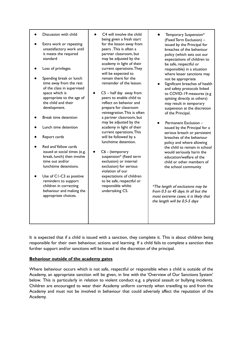- Discussion with child
- Extra work or repeating unsatisfactory work until it meets the required standard
- Loss of privileges
- Spending break or lunch time away from the rest of the class in supervised space which is appropriate to the age of the child and their development.
- **Break time detention**
- **Lunch time detention**
- Report cards
- Red and Yellow cards issued at social times (e.g. break, lunch) then involve time out and/or lunchtime detentions.
- Use of C1-C3 as positive reminders to support children in correcting behaviour and making the appropriate choices.
- C4 will involve the child being given a fresh start for the lesson away from peers .This is often a partner classroom, but may be adjusted by the academy in light of their current operations.They will be expected to remain there for the remainder of the lesson.
- $C5$  half day away from peers to enable child to reflect on behavior and prepare for classroom reintegration.This is often a partner classroom, but may be adjusted by the academy in light of their current operations.This will be followed by a lunchtime detention.
- C6 (temporary suspension\* (fixed term exclusion) or internal exclusion) for serious violation of our expectations of children to be safe, respectful or responsible whilst undertaking C5.
- Temporary Suspension\* (Fixed Term Exclusion) – issued by the Principal for breaches of the behaviour policy (which sets out our expectations of children to be safe, respectful or responsible) in a situation where lesser sanctions may not be appropriate
- Significant breaches of health and safety protocols linked to COVID-19 measures (e.g spitting directly at others) may result in temporary suspension at the discretion of the Principal.
- Permanent Exclusion issued by the Principal for a serious breach or persistent breaches of the behaviour policy and where allowing the child to remain in school would seriously harm the education/welfare of the child or other members of the school community

\*The length of exclusions may be from 0.5 to 45 days. In all but the most extreme cases, it is likely that the length will be 0.5-5 days

It is expected that if a child is issued with a sanction, they complete it. This is about children being responsible for their own behaviour, actions and learning. If a child fails to complete a sanction then further support and/or sanctions will be issued at the discretion of the principal.

# **Behaviour outside of the academy gates**

Where behaviour occurs which is not safe, respectful or responsible when a child is outside of the Academy, an appropriate sanction will be given, in line with the 'Overview of Our Sanctions System' below. This is particularly in relation to violent conduct e.g. a physical assault or bullying incidents. Children are encouraged to wear their Academy uniform correctly when travelling to and from the Academy and must not be involved in behaviour that could adversely affect the reputation of the Academy.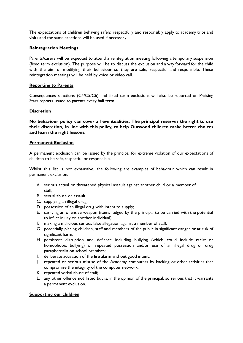The expectations of children behaving safely, respectfully and responsibly apply to academy trips and visits and the same sanctions will be used if necessary.

# **Reintegration Meetings**

Parents/carers will be expected to attend a reintegration meeting following a temporary suspension (fixed term exclusion). The purpose will be to discuss the exclusion and a way forward for the child with the aim of modifying their behaviour so they are safe, respectful and responsible. These reintegration meetings will be held by voice or video call.

# **Reporting to Parents**

Consequences sanctions (C4/C5/C6) and fixed term exclusions will also be reported on Praising Stars reports issued to parents every half term.

# **Discretion**

**No behaviour policy can cover all eventualities. The principal reserves the right to use their discretion, in line with this policy, to help Outwood children make better choices and learn the right lessons.**

# **Permanent Exclusion**

A permanent exclusion can be issued by the principal for extreme violation of our expectations of children to be safe, respectful or responsible.

Whilst this list is not exhaustive, the following are examples of behaviour which can result in permanent exclusion:

- A. serious actual or threatened physical assault against another child or a member of staff;
- B. sexual abuse or assault;
- C. supplying an illegal drug;
- D. possession of an illegal drug with intent to supply;
- E. carrying an offensive weapon (items judged by the principal to be carried with the potential to inflict injury on another individual);
- F. making a malicious serious false allegation against a member of staff;
- G. potentially placing children, staff and members of the public in significant danger or at risk of significant harm;
- H. persistent disruption and defiance including bullying (which could include racist or homophobic bullying) or repeated possession and/or use of an illegal drug or drug paraphernalia on school premises;
- I. deliberate activation of the fire alarm without good intent;
- J. repeated or serious misuse of the Academy computers by hacking or other activities that compromise the integrity of the computer network;
- K. repeated verbal abuse of staff;
- L. any other offence not listed but is, in the opinion of the principal, so serious that it warrants a permanent exclusion.

# **Supporting our children**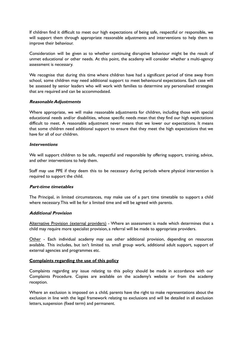If children find it difficult to meet our high expectations of being safe, respectful or responsible, we will support them through appropriate reasonable adjustments and interventions to help them to improve their behaviour.

Consideration will be given as to whether continuing disruptive behaviour might be the result of unmet educational or other needs. At this point, the academy will consider whether a multi-agency assessment is necessary.

We recognise that during this time where children have had a significant period of time away from school, some children may need additional support to meet behavioural expectations. Each case will be assessed by senior leaders who will work with families to determine any personalised strategies that are required and can be accommodated.

# **Reasonable Adjustments**

Where appropriate, we will make reasonable adjustments for children, including those with special educational needs and/or disabilities, whose specific needs mean that they find our high expectations difficult to meet. A reasonable adjustment never means that we lower our expectations. It means that some children need additional support to ensure that they meet the high expectations that we have for all of our children.

# **Interventions**

We will support children to be safe, respectful and responsible by offering support, training, advice, and other interventions to help them.

Staff may use PPE if they deem this to be necessary during periods where physical intervention is required to support the child.

# **Part-time timetables**

The Principal, in limited circumstances, may make use of a part time timetable to support a child where necessary.This will be for a limited time and will be agreed with parents.

# **Additional Provision**

Alternative Provision (external providers) - Where an assessment is made which determines that a child may require more specialist provision, a referral will be made to appropriate providers.

Other - Each individual academy may use other additional provision, depending on resources available. This includes, but isn't limited to, small group work, additional adult support, support of external agencies and programmes etc.

# **Complaints regarding the use of this policy**

Complaints regarding any issue relating to this policy should be made in accordance with our Complaints Procedure. Copies are available on the academy's website or from the academy reception.

Where an exclusion is imposed on a child, parents have the right to make representations about the exclusion in line with the legal framework relating to exclusions and will be detailed in all exclusion letters, suspension (fixed term) and permanent.